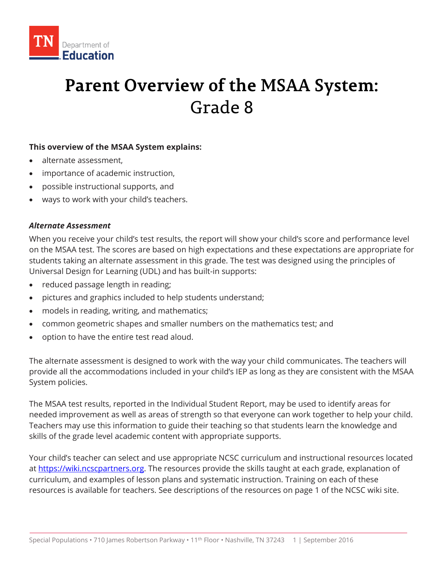

# **Parent Overview of the MSAA System:** Grade 8

## **This overview of the MSAA System explains:**

- alternate assessment,
- importance of academic instruction,
- possible instructional supports, and
- ways to work with your child's teachers.

## *Alternate Assessment*

When you receive your child's test results, the report will show your child's score and performance level on the MSAA test. The scores are based on high expectations and these expectations are appropriate for students taking an alternate assessment in this grade. The test was designed using the principles of Universal Design for Learning (UDL) and has built-in supports:

- reduced passage length in reading;
- pictures and graphics included to help students understand;
- models in reading, writing, and mathematics;
- common geometric shapes and smaller numbers on the mathematics test; and
- option to have the entire test read aloud.

The alternate assessment is designed to work with the way your child communicates. The teachers will provide all the accommodations included in your child's IEP as long as they are consistent with the MSAA System policies.

The MSAA test results, reported in the Individual Student Report, may be used to identify areas for needed improvement as well as areas of strength so that everyone can work together to help your child. Teachers may use this information to guide their teaching so that students learn the knowledge and skills of the grade level academic content with appropriate supports.

Your child's teacher can select and use appropriate NCSC curriculum and instructional resources located at [https://wiki.ncscpartners.org.](https://wiki.ncscpartners.org/) The resources provide the skills taught at each grade, explanation of curriculum, and examples of lesson plans and systematic instruction. Training on each of these resources is available for teachers. See descriptions of the resources on page 1 of the NCSC wiki site.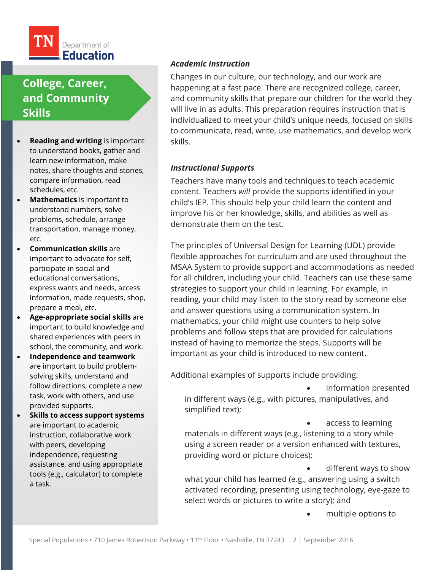

# **College, Career, and Community Skills**

- **Reading and writing** is important to understand books, gather and learn new information, make notes, share thoughts and stories, compare information, read schedules, etc.
- **Mathematics** is important to understand numbers, solve problems, schedule, arrange transportation, manage money, etc.
- **Communication skills** are important to advocate for self, participate in social and educational conversations, express wants and needs, access information, made requests, shop, prepare a meal, etc.
- **Age-appropriate social skills** are important to build knowledge and shared experiences with peers in school, the community, and work.
- **Independence and teamwork**  are important to build problemsolving skills, understand and follow directions, complete a new task, work with others, and use provided supports.
- **Skills to access support systems** are important to academic instruction, collaborative work with peers, developing independence, requesting assistance, and using appropriate tools (e.g., calculator) to complete a task.

## *Academic Instruction*

Changes in our culture, our technology, and our work are happening at a fast pace. There are recognized college, career, and community skills that prepare our children for the world they will live in as adults. This preparation requires instruction that is individualized to meet your child's unique needs, focused on skills to communicate, read, write, use mathematics, and develop work skills.

#### *Instructional Supports*

Teachers have many tools and techniques to teach academic content. Teachers *will* provide the supports identified in your child's IEP. This should help your child learn the content and improve his or her knowledge, skills, and abilities as well as demonstrate them on the test.

The principles of Universal Design for Learning (UDL) provide flexible approaches for curriculum and are used throughout the MSAA System to provide support and accommodations as needed for all children, including your child. Teachers can use these same strategies to support your child in learning. For example, in reading, your child may listen to the story read by someone else and answer questions using a communication system. In mathematics, your child might use counters to help solve problems and follow steps that are provided for calculations instead of having to memorize the steps. Supports will be important as your child is introduced to new content.

Additional examples of supports include providing:

• information presented

in different ways (e.g., with pictures, manipulatives, and simplified text);

access to learning materials in different ways (e.g., listening to a story while using a screen reader or a version enhanced with textures, providing word or picture choices);

different ways to show what your child has learned (e.g., answering using a switch activated recording, presenting using technology, eye-gaze to select words or pictures to write a story); and

• multiple options to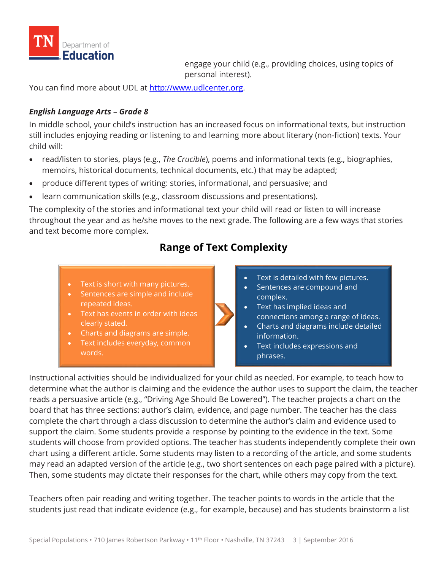

engage your child (e.g., providing choices, using topics of personal interest).

You can find more about UDL at [http://www.udlcenter.org.](http://www.udlcenter.org/)

## *English Language Arts – Grade 8*

In middle school, your child's instruction has an increased focus on informational texts, but instruction still includes enjoying reading or listening to and learning more about literary (non-fiction) texts. Your child will:

- read/listen to stories, plays (e.g., *The Crucible*), poems and informational texts (e.g., biographies, memoirs, historical documents, technical documents, etc.) that may be adapted;
- produce different types of writing: stories, informational, and persuasive; and
- learn communication skills (e.g., classroom discussions and presentations).

The complexity of the stories and informational text your child will read or listen to will increase throughout the year and as he/she moves to the next grade. The following are a few ways that stories and text become more complex.

## **Range of Text Complexity**

- Text is short with many pictures.
- Sentences are simple and include
- repeated ideas. • Text has events in order with ideas
- clearly stated.
- Charts and diagrams are simple.
- Text includes everyday, common words.
- Text is detailed with few pictures.
- Sentences are compound and complex.
- Text has implied ideas and connections among a range of ideas.
- Charts and diagrams include detailed information.
- Text includes expressions and phrases.

Instructional activities should be individualized for your child as needed. For example, to teach how to determine what the author is claiming and the evidence the author uses to support the claim, the teacher reads a persuasive article (e.g., "Driving Age Should Be Lowered"). The teacher projects a chart on the board that has three sections: author's claim, evidence, and page number. The teacher has the class complete the chart through a class discussion to determine the author's claim and evidence used to support the claim. Some students provide a response by pointing to the evidence in the text. Some students will choose from provided options. The teacher has students independently complete their own chart using a different article. Some students may listen to a recording of the article, and some students may read an adapted version of the article (e.g., two short sentences on each page paired with a picture). Then, some students may dictate their responses for the chart, while others may copy from the text.

Teachers often pair reading and writing together. The teacher points to words in the article that the students just read that indicate evidence (e.g., for example, because) and has students brainstorm a list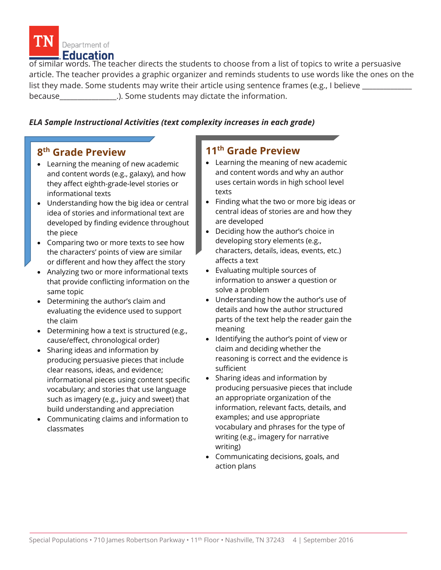

of similar words. The teacher directs the students to choose from a list of topics to write a persuasive article. The teacher provides a graphic organizer and reminds students to use words like the ones on the list they made. Some students may write their article using sentence frames (e.g., I believe because **Example 2.1** (because  $\cdot$  ). Some students may dictate the information.

## *ELA Sample Instructional Activities (text complexity increases in each grade)*

## **8th Grade Preview**

- Learning the meaning of new academic and content words (e.g., galaxy), and how they affect eighth-grade-level stories or informational texts
- Understanding how the big idea or central idea of stories and informational text are developed by finding evidence throughout the piece
- Comparing two or more texts to see how the characters' points of view are similar or different and how they affect the story
- Analyzing two or more informational texts that provide conflicting information on the same topic
- Determining the author's claim and evaluating the evidence used to support the claim
- Determining how a text is structured (e.g., cause/effect, chronological order)
- Sharing ideas and information by producing persuasive pieces that include clear reasons, ideas, and evidence; informational pieces using content specific vocabulary; and stories that use language such as imagery (e.g., juicy and sweet) that build understanding and appreciation
- Communicating claims and information to classmates

## **11th Grade Preview**

- Learning the meaning of new academic and content words and why an author uses certain words in high school level texts
- Finding what the two or more big ideas or central ideas of stories are and how they are developed
- Deciding how the author's choice in developing story elements (e.g., characters, details, ideas, events, etc.) affects a text
- Evaluating multiple sources of information to answer a question or solve a problem
- Understanding how the author's use of details and how the author structured parts of the text help the reader gain the meaning
- Identifying the author's point of view or claim and deciding whether the reasoning is correct and the evidence is sufficient
- Sharing ideas and information by producing persuasive pieces that include an appropriate organization of the information, relevant facts, details, and examples; and use appropriate vocabulary and phrases for the type of writing (e.g., imagery for narrative writing)
- Communicating decisions, goals, and action plans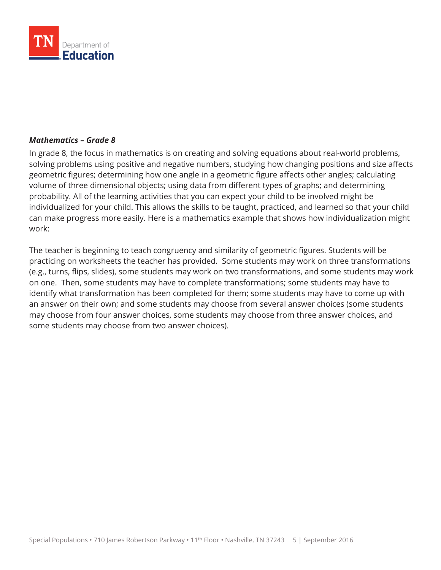

#### *Mathematics – Grade 8*

In grade 8, the focus in mathematics is on creating and solving equations about real-world problems, solving problems using positive and negative numbers, studying how changing positions and size affects geometric figures; determining how one angle in a geometric figure affects other angles; calculating volume of three dimensional objects; using data from different types of graphs; and determining probability. All of the learning activities that you can expect your child to be involved might be individualized for your child. This allows the skills to be taught, practiced, and learned so that your child can make progress more easily. Here is a mathematics example that shows how individualization might work:

The teacher is beginning to teach congruency and similarity of geometric figures. Students will be practicing on worksheets the teacher has provided. Some students may work on three transformations (e.g., turns, flips, slides), some students may work on two transformations, and some students may work on one. Then, some students may have to complete transformations; some students may have to identify what transformation has been completed for them; some students may have to come up with an answer on their own; and some students may choose from several answer choices (some students may choose from four answer choices, some students may choose from three answer choices, and some students may choose from two answer choices).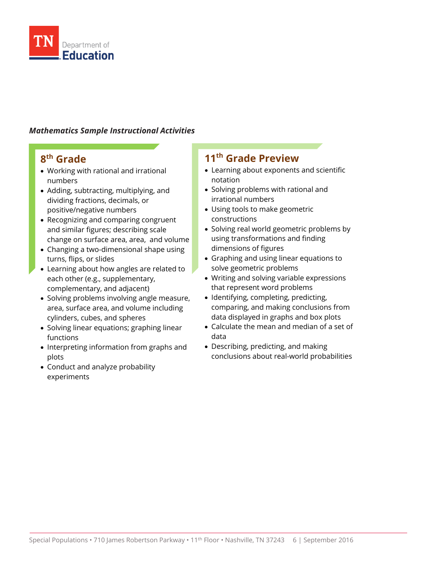

## *Mathematics Sample Instructional Activities*

## **8th Grade**

- Working with rational and irrational numbers
- Adding, subtracting, multiplying, and dividing fractions, decimals, or positive/negative numbers
- Recognizing and comparing congruent and similar figures; describing scale change on surface area, area, and volume
- Changing a two-dimensional shape using turns, flips, or slides
- Learning about how angles are related to each other (e.g., supplementary, complementary, and adjacent)
- Solving problems involving angle measure, area, surface area, and volume including cylinders, cubes, and spheres
- Solving linear equations; graphing linear functions
- Interpreting information from graphs and plots
- Conduct and analyze probability experiments

## **11th Grade Preview**

- Learning about exponents and scientific notation
- Solving problems with rational and irrational numbers
- Using tools to make geometric constructions
- Solving real world geometric problems by using transformations and finding dimensions of figures
- Graphing and using linear equations to solve geometric problems
- Writing and solving variable expressions that represent word problems
- Identifying, completing, predicting, comparing, and making conclusions from data displayed in graphs and box plots
- Calculate the mean and median of a set of data
- Describing, predicting, and making conclusions about real-world probabilities